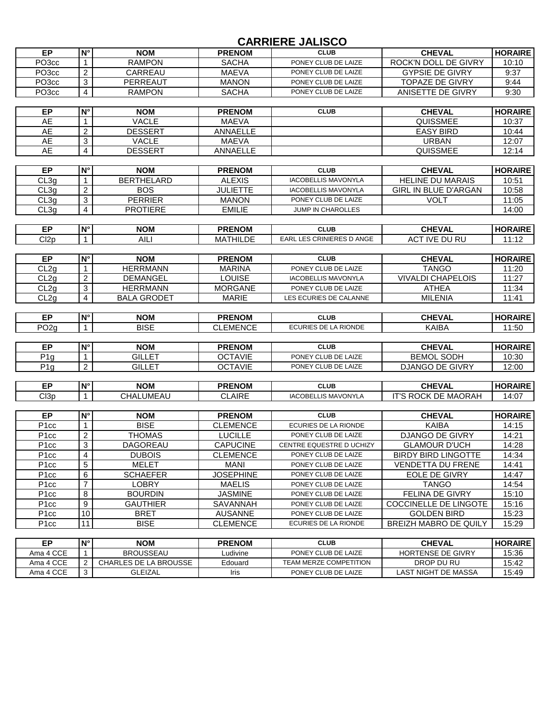## **CARRIERE JALISCO**

| EP.   | IN°I | <b>NOM</b> | <b>PRENOM</b> | <b>CLUB</b>         | <b>CHEVAL</b>          | <b>HORAIRE</b> |
|-------|------|------------|---------------|---------------------|------------------------|----------------|
| PO3cc |      | RAMPON     | <b>SACHA</b>  | PONEY CLUB DE LAIZE | ROCK'N DOLL DE GIVRY   | 10:10          |
| PO3cc |      | CARREAU    | MAEVA         | PONEY CLUB DE LAIZE | <b>GYPSIE DE GIVRY</b> | 9:37           |
| PO3cc |      | PERREAUT   | <b>MANON</b>  | PONEY CLUB DE LAIZE | <b>TOPAZE DE GIVRY</b> | 9:44           |
| PO3cc |      | RAMPON     | SACHA         | PONEY CLUB DE LAIZE | ANISETTE DE GIVRY      | 9:30           |

| ЕP | $N^{\circ}$ | <b>NOM</b>     | <b>PRENOM</b>   | <b>CLUB</b> | <b>CHEVAL</b>    | <b>HORAIRE</b> |
|----|-------------|----------------|-----------------|-------------|------------------|----------------|
| AE |             | VACLE          | <b>MAEVA</b>    |             | QUISSMEE         | 10:37          |
| AE |             | <b>DESSERT</b> | <b>ANNAELLE</b> |             | <b>EASY BIRD</b> | 10:44          |
| AE |             | VACLE          | <b>MAEVA</b>    |             | URBAN            | 12:07          |
| AE |             | <b>DESSERT</b> | <b>ANNAELLE</b> |             | QUISSMEE         | 12:14          |

| ЕP   | ⊥N° | <b>NOM</b>        | <b>PRENOM</b> | <b>CLUB</b>              | <b>CHEVAL</b>               | <b>HORAIRE</b> |
|------|-----|-------------------|---------------|--------------------------|-----------------------------|----------------|
| CL3q |     | <b>BERTHELARD</b> | <b>ALEXIS</b> | IACOBELLIS MAVONYLA      | <b>HELINE DU MARAIS</b>     | 10:51          |
| CL3q |     | <b>BOS</b>        | JULIETTE      | IACOBELLIS MAVONYLA      | <b>GIRL IN BLUE D'ARGAN</b> | 10:58          |
| CL3q |     | <b>PFRRIFR</b>    | <b>MANON</b>  | PONEY CLUB DE LAIZE      | VOL1                        | 11:05          |
| CL3q |     | <b>PROTIERE</b>   | <b>EMILIE</b> | <b>JUMP IN CHAROLLES</b> |                             | 14:00          |

| ЕP   | $\mathsf{N}^\circ$ | <b>NOM</b> | <b>PRENOM</b>        | <b>CLUB</b>               | <b>CHEVAL</b>    | <b>HORAIRE</b> |
|------|--------------------|------------|----------------------|---------------------------|------------------|----------------|
| Cl2p |                    | AIL.       | <b>\THILDE</b><br>MА | EARL LES CRINIERES D ANGE | TVE DU RU<br>ACT | 11.10<br>1. IZ |
|      |                    |            |                      |                           |                  |                |
| EP   | IN°                | <b>NOM</b> | <b>PRENOM</b>        | <b>CLUB</b>               | <b>CHEVAL</b>    | <b>HORAIRE</b> |

|      | . | NUM                | ⋯⋯⋯          | ◡◡◡                        | <b>UILIAL</b>            | 11900 RD 1 |
|------|---|--------------------|--------------|----------------------------|--------------------------|------------|
| CL2q |   | <b>HERRMANN</b>    | MARINA       | PONEY CLUB DE LAIZE        | TANGO                    | 11:20      |
| CL2q |   | DEMANGEL           | LOUISE       | <b>IACOBELLIS MAVONYLA</b> | <b>VIVALDI CHAPELOIS</b> | 11:27      |
| CL2q |   | <b>HERRMANN</b>    | MORGANE      | PONEY CLUB DE LAIZE        | ATHEA                    | 11:34      |
| CL2q |   | <b>BALA GRODET</b> | <b>MARIE</b> | LES ECURIES DE CALANNE     | MILENIA                  | 11:41      |

| ЕP                | $N^{\circ}$ | <b>NOM</b>  | <b>PRENOM</b>   | <b>CLUB</b>          | <b>CHEVAL</b>     | <b>HORAIRE</b> |
|-------------------|-------------|-------------|-----------------|----------------------|-------------------|----------------|
| PO <sub>2</sub> q |             | <b>BISE</b> | <b>CLEMENCE</b> | ECURIES DE LA RIONDE | <b>KAIBA</b>      | 11:50          |
|                   |             |             |                 |                      |                   |                |
| EP                | $N^{\circ}$ | <b>NOM</b>  | <b>PRENOM</b>   | <b>CLUB</b>          | <b>CHEVAL</b>     | <b>HORAIRE</b> |
| P1g               |             | GILLET      | <b>OCTAVIE</b>  | PONEY CLUB DE LAIZE  | <b>BEMOL SODH</b> | 10:30          |
| P1a               | ົ           | GILLET      | <b>OCTAVIE</b>  | PONEY CLUB DE LAIZE  | DJANGO DE GIVRY   | 12:00          |

| 60   | IN° | <b>NOM</b>     | <b>PRENOM</b>    | <b>CLUB</b>                                                                                    | <b>CHEVAL</b>                             | <b>HORAIRE</b>                  |
|------|-----|----------------|------------------|------------------------------------------------------------------------------------------------|-------------------------------------------|---------------------------------|
| Cl3p |     | LUMEAU<br>CHAI | AIRE<br>יר<br>◡∟ | <b>VONYL</b><br>$\sim$<br>$\sim$<br>MAV<br>™ IACUL<br>┅<br>È<br>$\sqrt{ }$<br>⊣ר<br>ᄂᄂᄓ<br>. – | <b>MAORAH</b><br>ימר<br>— 17<br>ne.<br>பட | $\Lambda \cdot \Omega^-$<br>T.V |

| ЕP                | N°              | <b>NOM</b>      | <b>PRENOM</b>    | <b>CLUB</b>              | <b>CHEVAL</b>                | <b>HORAIRE</b> |
|-------------------|-----------------|-----------------|------------------|--------------------------|------------------------------|----------------|
| P <sub>1</sub> cc |                 | <b>BISE</b>     | <b>CLEMENCE</b>  | ECURIES DE LA RIONDE     | <b>KAIBA</b>                 | 14:15          |
| P <sub>1</sub> cc | ົ               | <b>THOMAS</b>   | <b>LUCILLE</b>   | PONEY CLUB DE LAIZE      | DJANGO DE GIVRY              | 14:21          |
| P <sub>1</sub> cc | 3               | DAGOREAU        | <b>CAPUCINE</b>  | CENTRE EQUESTRE D UCHIZY | <b>GLAMOUR D'UCH</b>         | 14:28          |
| P <sub>1</sub> cc | 4               | <b>DUBOIS</b>   | <b>CLEMENCE</b>  | PONEY CLUB DE LAIZE      | <b>BIRDY BIRD LINGOTTE</b>   | 14:34          |
| P <sub>1</sub> cc | 5               | <b>MELET</b>    | MANI             | PONEY CLUB DE LAIZE      | <b>VENDETTA DU FRENE</b>     | 14:41          |
| P <sub>1</sub> cc | 6               | <b>SCHAEFER</b> | <b>JOSEPHINE</b> | PONEY CLUB DE LAIZE      | EOLE DE GIVRY                | 14:47          |
| P <sub>1</sub> cc |                 | <b>LOBRY</b>    | <b>MAELIS</b>    | PONEY CLUB DE LAIZE      | TANGO                        | 14:54          |
| P <sub>1</sub> cc | 8               | <b>BOURDIN</b>  | <b>JASMINE</b>   | PONEY CLUB DE LAIZE      | <b>FELINA DE GIVRY</b>       | 15:10          |
| P <sub>1</sub> cc | 9               | <b>GAUTHIER</b> | SAVANNAH         | PONEY CLUB DE LAIZE      | <b>COCCINELLE DE LINGOTE</b> | 15:16          |
| P <sub>1</sub> cc | 10 <sup>1</sup> | <b>BRET</b>     | AUSANNE          | PONEY CLUB DE LAIZE      | <b>GOLDEN BIRD</b>           | 15:23          |
| P <sub>1</sub> cc | -1              | <b>BISE</b>     | <b>CLEMENCE</b>  | ECURIES DE LA RIONDE     | <b>BREIZH MABRO DE QUILY</b> | 15:29          |

| FР        | $\mathsf{N}^\circ$ | NOM                   | <b>PRENOM</b> | <b>CLUB</b>            | <b>CHEVAL</b>            | <b>HORAIRE</b> |
|-----------|--------------------|-----------------------|---------------|------------------------|--------------------------|----------------|
| Ama 4 CCE |                    | <b>BROUSSEAU</b>      | udivine_      | PONEY CLUB DE LAIZE    | <b>HORTENSE DE GIVRY</b> | 15:36          |
| Ama 4 CCE |                    | CHARLES DE LA BROUSSE | Edouard       | TEAM MERZE COMPETITION | DROP DU RU               | 15:42          |
| Ama 4 CCE |                    | GLEIZAL               | Iris          | PONEY CLUB DE LAIZE    | LAST NIGHT DE MASSA      | 15:49          |